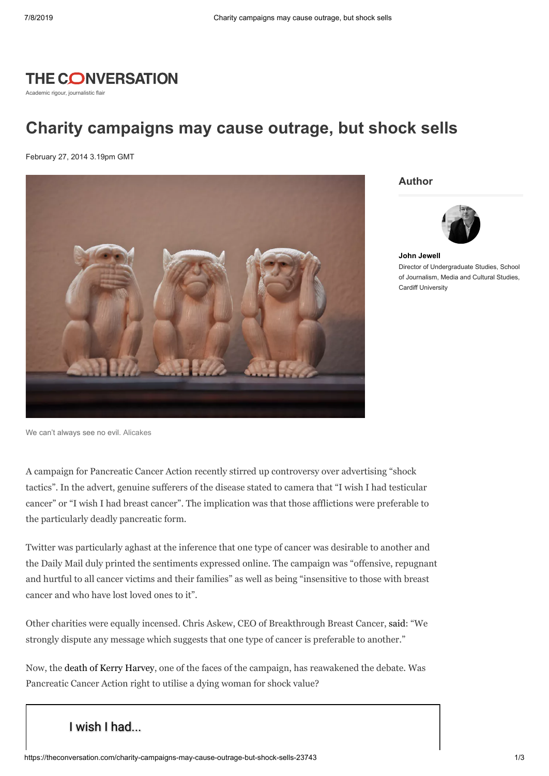

Academic rigour, journalistic flair

## **Charity campaigns may cause outrage, but shock sells**

February 27, 2014 3.19pm GMT



**Author**



**John [Jewell](https://theconversation.com/profiles/john-jewell-100660)** Director of Undergraduate Studies, School of Journalism, Media and Cultural Studies, Cardiff University

We can't always see no evil. [Alicakes](http://www.flickr.com/photos/alisonlongrigg/3503494291/sizes/l/)

A campaign for Pancreatic Cancer Action recently stirred up controversy over advertising "shock tactics". In the advert, genuine sufferers of the disease stated to camera that "I wish I had testicular cancer" or "I wish I had breast cancer". The implication was that those afflictions were preferable to the particularly deadly pancreatic form.

Twitter was particularly aghast at the inference that one type of cancer was desirable to another and the Daily Mail duly printed the sentiments expressed online. The campaign was "offensive, repugnant and hurtful to all cancer victims and their families" as well as being "insensitive to those with breast cancer and who have lost loved ones to it".

Other charities were equally incensed. Chris Askew, CEO of Breakthrough Breast Cancer, [said](http://www.mirror.co.uk/news/uk-news/pancreatic-cancer-wish-campaign-outrage-3116014): "We strongly dispute any message which suggests that one type of cancer is preferable to another."

Now, the death of Kerry [Harvey,](http://www.bbc.co.uk/news/health-26355420) one of the faces of the campaign, has reawakened the debate. Was Pancreatic Cancer Action right to utilise a dying woman for shock value?

## [I wish I had...](https://www.youtube.com/watch?v=IDU1XEAWkxE)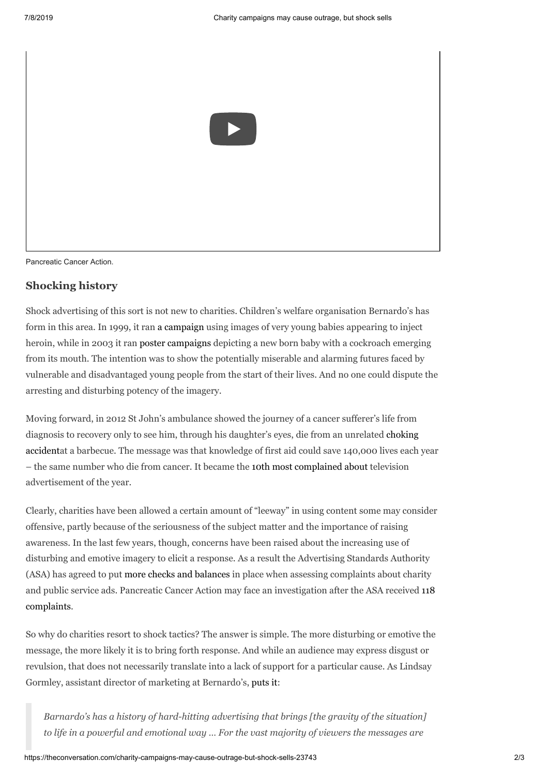

Pancreatic Cancer Action.

## **Shocking history**

Shock advertising of this sort is not new to charities. Children's welfare organisation Bernardo's has form in this area. In 1999, it ran a [campaign](http://www.thirdsector.co.uk/Communications/article/1188136/change-makers-barnardos/) using images of very young babies appearing to inject heroin, while in 2003 it ran poster [campaigns](http://www.theguardian.com/media/2003/nov/24/advertising2) depicting a new born baby with a cockroach emerging from its mouth. The intention was to show the potentially miserable and alarming futures faced by vulnerable and disadvantaged young people from the start of their lives. And no one could dispute the arresting and disturbing potency of the imagery.

Moving forward, in 2012 St John's ambulance showed the journey of a cancer sufferer's life from diagnosis to recovery only to see him, through his daughter's eyes, die from an unrelated choking accidentat a barbecue. The message was that [knowledge](http://www.youtube.com/watch?v=sC7zfgCXQFs) of first aid could save 140,000 lives each year – the same number who die from cancer. It became the 10th most [complained](http://www.theguardian.com/voluntary-sector-network/2013/nov/19/charity-shock-tactics-do-they-work) about television advertisement of the year.

Clearly, charities have been allowed a certain amount of "leeway" in using content some may consider offensive, partly because of the seriousness of the subject matter and the importance of raising awareness. In the last few years, though, concerns have been raised about the increasing use of disturbing and emotive imagery to elicit a response. As a result the Advertising Standards Authority (ASA) has agreed to put more checks and [balances](http://www.asa.org.uk/News-resources/Hot-Topics/Charity-ads.aspx) in place when assessing complaints about charity and public service ads. Pancreatic Cancer Action may face an [investigation](http://www.theguardian.com/media/2014/feb/25/pancreatic-cancer-action-ad-investigation-complaints-asa) after the ASA received 118 complaints.

So why do charities resort to shock tactics? The answer is simple. The more disturbing or emotive the message, the more likely it is to bring forth response. And while an audience may express disgust or revulsion, that does not necessarily translate into a lack of support for a particular cause. As Lindsay Gormley, assistant director of marketing at Bernardo's, [puts](http://www.thirdsector.co.uk/news/1143700/Public-feels-charity-adverts-go-far-says-survey-regulator) it:

*Barnardo's has a history of hard-hitting advertising that brings [the gravity of the situation] to life in a powerful and emotional way … For the vast majority of viewers the messages are*